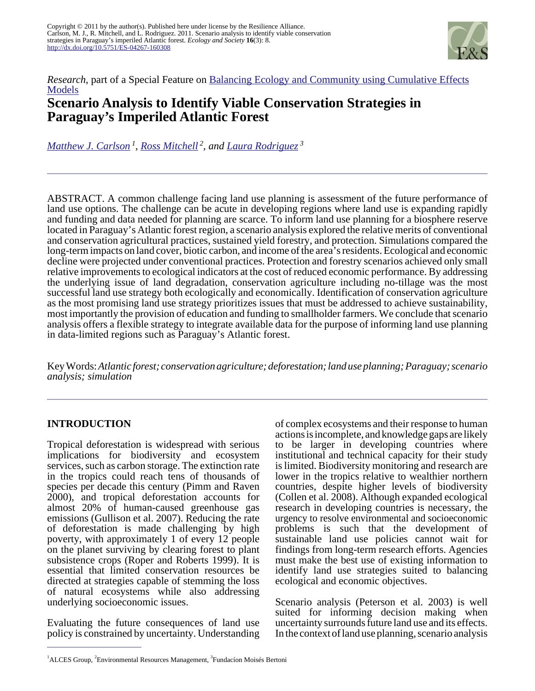

## *Research*, part of a Special Feature on [Balancing Ecology and Community using Cumulative Effects](http://www.ecologyandsociety.org/viewissue.php?sf=55) [Models](http://www.ecologyandsociety.org/viewissue.php?sf=55) **Scenario Analysis to Identify Viable Conservation Strategies in Paraguay's Imperiled Atlantic Forest**

*[Matthew J. Carlson](mailto:mcarlson@alces.ca)<sup>1</sup> , [Ross Mitchell](mailto:Ross.Mitchell@erm.com)<sup>2</sup>, and [Laura Rodriguez](mailto:lauraroya@gmail.com)<sup>3</sup>*

ABSTRACT. A common challenge facing land use planning is assessment of the future performance of land use options. The challenge can be acute in developing regions where land use is expanding rapidly and funding and data needed for planning are scarce. To inform land use planning for a biosphere reserve located in Paraguay's Atlantic forest region, a scenario analysis explored the relative merits of conventional and conservation agricultural practices, sustained yield forestry, and protection. Simulations compared the long-term impacts on land cover, biotic carbon, and income of the area's residents. Ecological and economic decline were projected under conventional practices. Protection and forestry scenarios achieved only small relative improvements to ecological indicators at the cost of reduced economic performance. By addressing the underlying issue of land degradation, conservation agriculture including no-tillage was the most successful land use strategy both ecologically and economically. Identification of conservation agriculture as the most promising land use strategy prioritizes issues that must be addressed to achieve sustainability, most importantly the provision of education and funding to smallholder farmers. We conclude that scenario analysis offers a flexible strategy to integrate available data for the purpose of informing land use planning in data-limited regions such as Paraguay's Atlantic forest.

Key Words: *Atlantic forest; conservation agriculture; deforestation; land use planning; Paraguay; scenario analysis; simulation*

# **INTRODUCTION**

Tropical deforestation is widespread with serious implications for biodiversity and ecosystem services, such as carbon storage. The extinction rate in the tropics could reach tens of thousands of species per decade this century (Pimm and Raven 2000), and tropical deforestation accounts for almost 20% of human-caused greenhouse gas emissions (Gullison et al. 2007). Reducing the rate of deforestation is made challenging by high poverty, with approximately 1 of every 12 people on the planet surviving by clearing forest to plant subsistence crops (Roper and Roberts 1999). It is essential that limited conservation resources be directed at strategies capable of stemming the loss of natural ecosystems while also addressing underlying socioeconomic issues.

Evaluating the future consequences of land use policy is constrained by uncertainty. Understanding

of complex ecosystems and their response to human actions is incomplete, and knowledge gaps are likely to be larger in developing countries where institutional and technical capacity for their study is limited. Biodiversity monitoring and research are lower in the tropics relative to wealthier northern countries, despite higher levels of biodiversity (Collen et al. 2008). Although expanded ecological research in developing countries is necessary, the urgency to resolve environmental and socioeconomic problems is such that the development of sustainable land use policies cannot wait for findings from long-term research efforts. Agencies must make the best use of existing information to identify land use strategies suited to balancing ecological and economic objectives.

Scenario analysis (Peterson et al. 2003) is well suited for informing decision making when uncertainty surrounds future land use and its effects. In the context of land use planning, scenario analysis

<sup>&</sup>lt;sup>1</sup>ALCES Group, <sup>2</sup>Environmental Resources Management, <sup>3</sup>Fundacíon Moisés Bertoni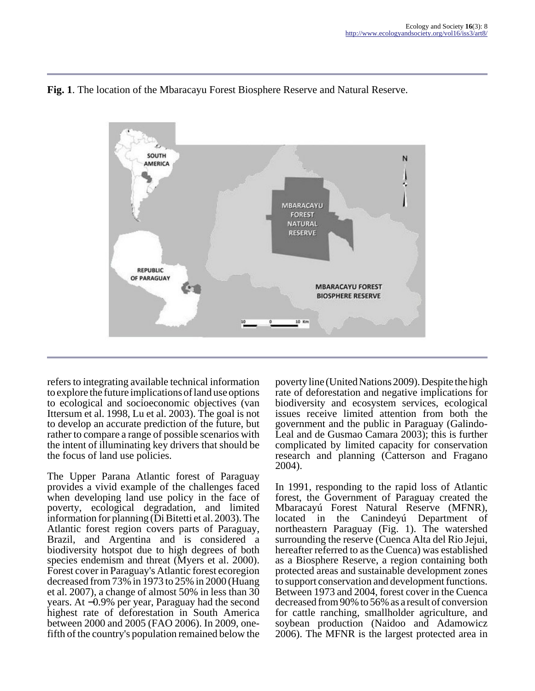

**Fig. 1**. The location of the Mbaracayu Forest Biosphere Reserve and Natural Reserve.

refers to integrating available technical information to explore the future implications of land use options to ecological and socioeconomic objectives (van Ittersum et al. 1998, Lu et al. 2003). The goal is not to develop an accurate prediction of the future, but rather to compare a range of possible scenarios with the intent of illuminating key drivers that should be the focus of land use policies.

The Upper Parana Atlantic forest of Paraguay provides a vivid example of the challenges faced when developing land use policy in the face of poverty, ecological degradation, and limited information for planning (Di Bitetti et al. 2003). The Atlantic forest region covers parts of Paraguay, Brazil, and Argentina and is considered a biodiversity hotspot due to high degrees of both species endemism and threat (Myers et al. 2000). Forest cover in Paraguay's Atlantic forest ecoregion decreased from 73% in 1973 to 25% in 2000 (Huang et al. 2007), a change of almost 50% in less than 30 years. At −0.9% per year, Paraguay had the second highest rate of deforestation in South America between 2000 and 2005 (FAO 2006). In 2009, onefifth of the country's population remained below the

poverty line (United Nations 2009). Despite the high rate of deforestation and negative implications for biodiversity and ecosystem services, ecological issues receive limited attention from both the government and the public in Paraguay (Galindo-Leal and de Gusmao Camara 2003); this is further complicated by limited capacity for conservation research and planning (Catterson and Fragano 2004).

In 1991, responding to the rapid loss of Atlantic forest, the Government of Paraguay created the Mbaracayú Forest Natural Reserve (MFNR), located in the Canindeyú Department of northeastern Paraguay (Fig. 1). The watershed surrounding the reserve (Cuenca Alta del Rio Jejui, hereafter referred to as the Cuenca) was established as a Biosphere Reserve, a region containing both protected areas and sustainable development zones to support conservation and development functions. Between 1973 and 2004, forest cover in the Cuenca decreased from 90% to 56% as a result of conversion for cattle ranching, smallholder agriculture, and soybean production (Naidoo and Adamowicz 2006). The MFNR is the largest protected area in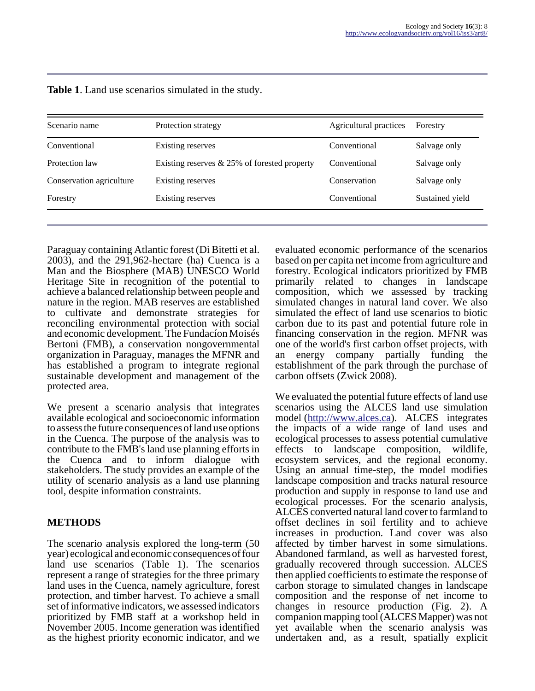| Scenario name            | Protection strategy                             | Agricultural practices | Forestry        |
|--------------------------|-------------------------------------------------|------------------------|-----------------|
| Conventional             | Existing reserves                               | Conventional           | Salvage only    |
| Protection law           | Existing reserves $& 25\%$ of forested property | Conventional           | Salvage only    |
| Conservation agriculture | Existing reserves                               | Conservation           | Salvage only    |
| Forestry                 | Existing reserves                               | Conventional           | Sustained yield |

**Table 1**. Land use scenarios simulated in the study.

Paraguay containing Atlantic forest (Di Bitetti et al. 2003), and the 291,962-hectare (ha) Cuenca is a Man and the Biosphere (MAB) UNESCO World Heritage Site in recognition of the potential to achieve a balanced relationship between people and nature in the region. MAB reserves are established to cultivate and demonstrate strategies for reconciling environmental protection with social and economic development. The Fundacíon Moisés Bertoni (FMB), a conservation nongovernmental organization in Paraguay, manages the MFNR and has established a program to integrate regional sustainable development and management of the protected area.

We present a scenario analysis that integrates available ecological and socioeconomic information to assess the future consequences of land use options in the Cuenca. The purpose of the analysis was to contribute to the FMB's land use planning efforts in the Cuenca and to inform dialogue with stakeholders. The study provides an example of the utility of scenario analysis as a land use planning tool, despite information constraints.

# **METHODS**

The scenario analysis explored the long-term (50 year) ecological and economic consequences of four land use scenarios (Table 1). The scenarios represent a range of strategies for the three primary land uses in the Cuenca, namely agriculture, forest protection, and timber harvest. To achieve a small set of informative indicators, we assessed indicators prioritized by FMB staff at a workshop held in November 2005. Income generation was identified as the highest priority economic indicator, and we

evaluated economic performance of the scenarios based on per capita net income from agriculture and forestry. Ecological indicators prioritized by FMB primarily related to changes in landscape composition, which we assessed by tracking simulated changes in natural land cover. We also simulated the effect of land use scenarios to biotic carbon due to its past and potential future role in financing conservation in the region. MFNR was one of the world's first carbon offset projects, with an energy company partially funding the establishment of the park through the purchase of carbon offsets (Zwick 2008).

We evaluated the potential future effects of land use scenarios using the ALCES land use simulation model ([http://www.alces.ca](http://www.alces.ca/)). ALCES integrates the impacts of a wide range of land uses and ecological processes to assess potential cumulative effects to landscape composition, wildlife, ecosystem services, and the regional economy. Using an annual time-step, the model modifies landscape composition and tracks natural resource production and supply in response to land use and ecological processes. For the scenario analysis, ALCES converted natural land cover to farmland to offset declines in soil fertility and to achieve increases in production. Land cover was also affected by timber harvest in some simulations. Abandoned farmland, as well as harvested forest, gradually recovered through succession. ALCES then applied coefficients to estimate the response of carbon storage to simulated changes in landscape composition and the response of net income to changes in resource production (Fig. 2). A companion mapping tool (ALCES Mapper) was not yet available when the scenario analysis was undertaken and, as a result, spatially explicit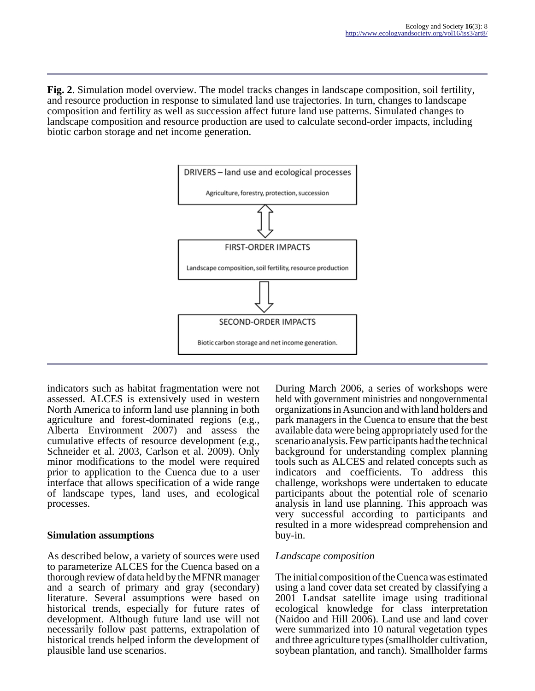**Fig. 2**. Simulation model overview. The model tracks changes in landscape composition, soil fertility, and resource production in response to simulated land use trajectories. In turn, changes to landscape composition and fertility as well as succession affect future land use patterns. Simulated changes to landscape composition and resource production are used to calculate second-order impacts, including biotic carbon storage and net income generation.



indicators such as habitat fragmentation were not assessed. ALCES is extensively used in western North America to inform land use planning in both agriculture and forest-dominated regions (e.g., Alberta Environment 2007) and assess the cumulative effects of resource development (e.g., Schneider et al. 2003, Carlson et al. 2009). Only minor modifications to the model were required prior to application to the Cuenca due to a user interface that allows specification of a wide range of landscape types, land uses, and ecological processes.

### **Simulation assumptions**

As described below, a variety of sources were used to parameterize ALCES for the Cuenca based on a thorough review of data held by the MFNR manager and a search of primary and gray (secondary) literature. Several assumptions were based on historical trends, especially for future rates of development. Although future land use will not necessarily follow past patterns, extrapolation of historical trends helped inform the development of plausible land use scenarios.

During March 2006, a series of workshops were held with government ministries and nongovernmental organizations in Asuncion and with land holders and park managers in the Cuenca to ensure that the best available data were being appropriately used for the scenario analysis. Few participants had the technical background for understanding complex planning tools such as ALCES and related concepts such as indicators and coefficients. To address this challenge, workshops were undertaken to educate participants about the potential role of scenario analysis in land use planning. This approach was very successful according to participants and resulted in a more widespread comprehension and buy-in.

# *Landscape composition*

The initial composition of the Cuenca was estimated using a land cover data set created by classifying a 2001 Landsat satellite image using traditional ecological knowledge for class interpretation (Naidoo and Hill 2006). Land use and land cover were summarized into 10 natural vegetation types and three agriculture types (smallholder cultivation, soybean plantation, and ranch). Smallholder farms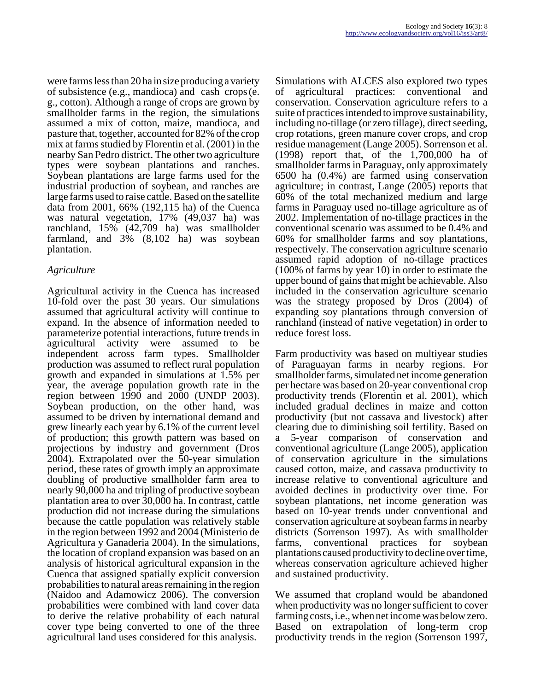were farms less than 20 ha in size producing a variety of subsistence (e.g., mandioca) and cash crops (e. g., cotton). Although a range of crops are grown by smallholder farms in the region, the simulations assumed a mix of cotton, maize, mandioca, and pasture that, together, accounted for 82% of the crop mix at farms studied by Florentin et al. (2001) in the nearby San Pedro district. The other two agriculture types were soybean plantations and ranches. Soybean plantations are large farms used for the industrial production of soybean, and ranches are large farms used to raise cattle. Based on the satellite data from 2001, 66% (192,115 ha) of the Cuenca was natural vegetation, 17% (49,037 ha) was ranchland, 15% (42,709 ha) was smallholder farmland, and 3% (8,102 ha) was soybean plantation.

### *Agriculture*

Agricultural activity in the Cuenca has increased 10-fold over the past 30 years. Our simulations assumed that agricultural activity will continue to expand. In the absence of information needed to parameterize potential interactions, future trends in agricultural activity were assumed to be independent across farm types. Smallholder production was assumed to reflect rural population growth and expanded in simulations at 1.5% per year, the average population growth rate in the region between 1990 and 2000 (UNDP 2003). Soybean production, on the other hand, was assumed to be driven by international demand and grew linearly each year by 6.1% of the current level of production; this growth pattern was based on projections by industry and government (Dros 2004). Extrapolated over the 50-year simulation period, these rates of growth imply an approximate doubling of productive smallholder farm area to nearly 90,000 ha and tripling of productive soybean plantation area to over 30,000 ha. In contrast, cattle production did not increase during the simulations because the cattle population was relatively stable in the region between 1992 and 2004 (Ministerio de Agricultura y Ganaderia 2004). In the simulations, the location of cropland expansion was based on an analysis of historical agricultural expansion in the Cuenca that assigned spatially explicit conversion probabilities to natural areas remaining in the region (Naidoo and Adamowicz 2006). The conversion probabilities were combined with land cover data to derive the relative probability of each natural cover type being converted to one of the three agricultural land uses considered for this analysis.

Simulations with ALCES also explored two types of agricultural practices: conventional and conservation. Conservation agriculture refers to a suite of practices intended to improve sustainability, including no-tillage (or zero tillage), direct seeding, crop rotations, green manure cover crops, and crop residue management (Lange 2005). Sorrenson et al. (1998) report that, of the 1,700,000 ha of smallholder farms in Paraguay, only approximately 6500 ha (0.4%) are farmed using conservation agriculture; in contrast, Lange (2005) reports that 60% of the total mechanized medium and large farms in Paraguay used no-tillage agriculture as of 2002. Implementation of no-tillage practices in the conventional scenario was assumed to be 0.4% and 60% for smallholder farms and soy plantations, respectively. The conservation agriculture scenario assumed rapid adoption of no-tillage practices (100% of farms by year 10) in order to estimate the upper bound of gains that might be achievable. Also included in the conservation agriculture scenario was the strategy proposed by Dros (2004) of expanding soy plantations through conversion of ranchland (instead of native vegetation) in order to reduce forest loss.

Farm productivity was based on multiyear studies of Paraguayan farms in nearby regions. For smallholder farms, simulated net income generation per hectare was based on 20-year conventional crop productivity trends (Florentin et al. 2001), which included gradual declines in maize and cotton productivity (but not cassava and livestock) after clearing due to diminishing soil fertility. Based on a 5-year comparison of conservation and conventional agriculture (Lange 2005), application of conservation agriculture in the simulations caused cotton, maize, and cassava productivity to increase relative to conventional agriculture and avoided declines in productivity over time. For soybean plantations, net income generation was based on 10-year trends under conventional and conservation agriculture at soybean farms in nearby districts (Sorrenson 1997). As with smallholder farms, conventional practices for soybean plantations caused productivity to decline over time, whereas conservation agriculture achieved higher and sustained productivity.

We assumed that cropland would be abandoned when productivity was no longer sufficient to cover farming costs, i.e., when net income was below zero. Based on extrapolation of long-term crop productivity trends in the region (Sorrenson 1997,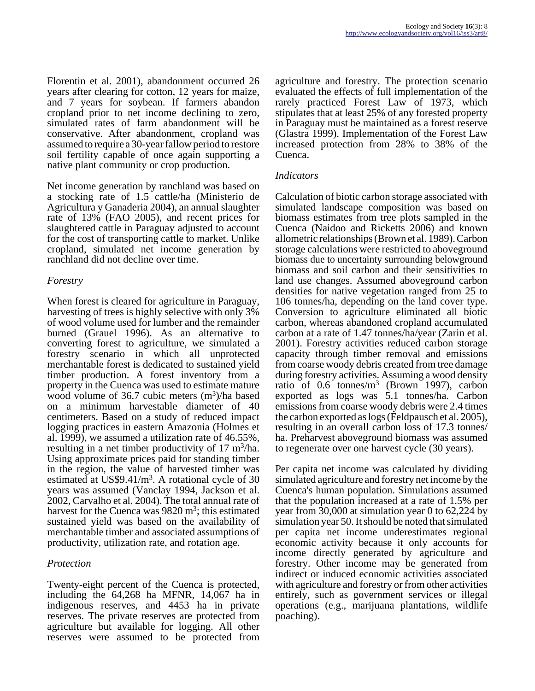Florentin et al. 2001), abandonment occurred 26 years after clearing for cotton, 12 years for maize, and 7 years for soybean. If farmers abandon cropland prior to net income declining to zero, simulated rates of farm abandonment will be conservative. After abandonment, cropland was assumed to require a 30-year fallow period to restore soil fertility capable of once again supporting a native plant community or crop production.

Net income generation by ranchland was based on a stocking rate of 1.5 cattle/ha (Ministerio de Agricultura y Ganaderia 2004), an annual slaughter rate of 13% (FAO 2005), and recent prices for slaughtered cattle in Paraguay adjusted to account for the cost of transporting cattle to market. Unlike cropland, simulated net income generation by ranchland did not decline over time.

### *Forestry*

When forest is cleared for agriculture in Paraguay, harvesting of trees is highly selective with only 3% of wood volume used for lumber and the remainder burned (Grauel 1996). As an alternative to converting forest to agriculture, we simulated a forestry scenario in which all unprotected merchantable forest is dedicated to sustained yield timber production. A forest inventory from a property in the Cuenca was used to estimate mature wood volume of 36.7 cubic meters  $(m^3)/ha$  based on a minimum harvestable diameter of 40 centimeters. Based on a study of reduced impact logging practices in eastern Amazonia (Holmes et al. 1999), we assumed a utilization rate of 46.55%, resulting in a net timber productivity of  $17 \text{ m}^3/\text{ha}$ . Using approximate prices paid for standing timber in the region, the value of harvested timber was estimated at US\$9.41/ $m^3$ . A rotational cycle of 30 years was assumed (Vanclay 1994, Jackson et al. 2002, Carvalho et al. 2004). The total annual rate of harvest for the Cuenca was  $9820 \text{ m}^3$ ; this estimated sustained yield was based on the availability of merchantable timber and associated assumptions of productivity, utilization rate, and rotation age.

### *Protection*

Twenty-eight percent of the Cuenca is protected, including the 64,268 ha MFNR, 14,067 ha in indigenous reserves, and 4453 ha in private reserves. The private reserves are protected from agriculture but available for logging. All other reserves were assumed to be protected from

agriculture and forestry. The protection scenario evaluated the effects of full implementation of the rarely practiced Forest Law of 1973, which stipulates that at least 25% of any forested property in Paraguay must be maintained as a forest reserve (Glastra 1999). Implementation of the Forest Law increased protection from 28% to 38% of the Cuenca.

#### *Indicators*

Calculation of biotic carbon storage associated with simulated landscape composition was based on biomass estimates from tree plots sampled in the Cuenca (Naidoo and Ricketts 2006) and known allometric relationships (Brown et al. 1989). Carbon storage calculations were restricted to aboveground biomass due to uncertainty surrounding belowground biomass and soil carbon and their sensitivities to land use changes. Assumed aboveground carbon densities for native vegetation ranged from 25 to 106 tonnes/ha, depending on the land cover type. Conversion to agriculture eliminated all biotic carbon, whereas abandoned cropland accumulated carbon at a rate of 1.47 tonnes/ha/year (Zarin et al. 2001). Forestry activities reduced carbon storage capacity through timber removal and emissions from coarse woody debris created from tree damage during forestry activities. Assuming a wood density ratio of 0.6 tonnes/m<sup>3</sup> (Brown 1997), carbon exported as logs was 5.1 tonnes/ha. Carbon emissions from coarse woody debris were 2.4 times the carbon exported as logs (Feldpausch et al. 2005), resulting in an overall carbon loss of 17.3 tonnes/ ha. Preharvest aboveground biomass was assumed to regenerate over one harvest cycle (30 years).

Per capita net income was calculated by dividing simulated agriculture and forestry net income by the Cuenca's human population. Simulations assumed that the population increased at a rate of 1.5% per year from 30,000 at simulation year 0 to 62,224 by simulation year 50. It should be noted that simulated per capita net income underestimates regional economic activity because it only accounts for income directly generated by agriculture and forestry. Other income may be generated from indirect or induced economic activities associated with agriculture and forestry or from other activities entirely, such as government services or illegal operations (e.g., marijuana plantations, wildlife poaching).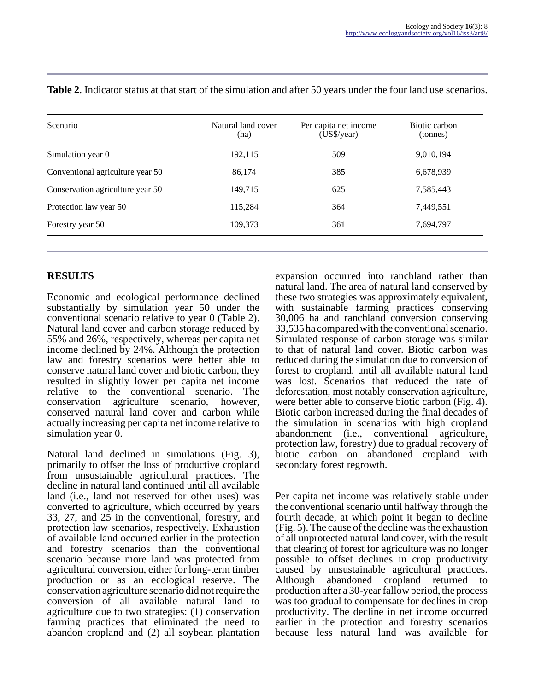| Scenario                         | Natural land cover<br>(ha) | Per capita net income<br>$(US\$ /year) | Biotic carbon<br>(tonnes) |
|----------------------------------|----------------------------|----------------------------------------|---------------------------|
| Simulation year 0                | 192,115                    | 509                                    | 9,010,194                 |
| Conventional agriculture year 50 | 86,174                     | 385                                    | 6,678,939                 |
| Conservation agriculture year 50 | 149,715                    | 625                                    | 7,585,443                 |
| Protection law year 50           | 115,284                    | 364                                    | 7,449,551                 |
| Forestry year 50                 | 109,373                    | 361                                    | 7,694,797                 |

**Table 2**. Indicator status at that start of the simulation and after 50 years under the four land use scenarios.

#### **RESULTS**

Economic and ecological performance declined substantially by simulation year 50 under the conventional scenario relative to year 0 (Table 2). Natural land cover and carbon storage reduced by 55% and 26%, respectively, whereas per capita net income declined by 24%. Although the protection law and forestry scenarios were better able to conserve natural land cover and biotic carbon, they resulted in slightly lower per capita net income relative to the conventional scenario. The conservation agriculture scenario, however, conserved natural land cover and carbon while actually increasing per capita net income relative to simulation year 0.

Natural land declined in simulations (Fig. 3), primarily to offset the loss of productive cropland from unsustainable agricultural practices. The decline in natural land continued until all available land (i.e., land not reserved for other uses) was converted to agriculture, which occurred by years 33, 27, and 25 in the conventional, forestry, and protection law scenarios, respectively. Exhaustion of available land occurred earlier in the protection and forestry scenarios than the conventional scenario because more land was protected from agricultural conversion, either for long-term timber production or as an ecological reserve. The conservation agriculture scenario did not require the conversion of all available natural land to agriculture due to two strategies: (1) conservation farming practices that eliminated the need to abandon cropland and (2) all soybean plantation

expansion occurred into ranchland rather than natural land. The area of natural land conserved by these two strategies was approximately equivalent, with sustainable farming practices conserving 30,006 ha and ranchland conversion conserving 33,535 ha compared with the conventional scenario. Simulated response of carbon storage was similar to that of natural land cover. Biotic carbon was reduced during the simulation due to conversion of forest to cropland, until all available natural land was lost. Scenarios that reduced the rate of deforestation, most notably conservation agriculture, were better able to conserve biotic carbon (Fig. 4). Biotic carbon increased during the final decades of the simulation in scenarios with high cropland abandonment (i.e., conventional agriculture, protection law, forestry) due to gradual recovery of biotic carbon on abandoned cropland with secondary forest regrowth.

Per capita net income was relatively stable under the conventional scenario until halfway through the fourth decade, at which point it began to decline (Fig. 5). The cause of the decline was the exhaustion of all unprotected natural land cover, with the result that clearing of forest for agriculture was no longer possible to offset declines in crop productivity caused by unsustainable agricultural practices. Although abandoned cropland returned to production after a 30-year fallow period, the process was too gradual to compensate for declines in crop productivity. The decline in net income occurred earlier in the protection and forestry scenarios because less natural land was available for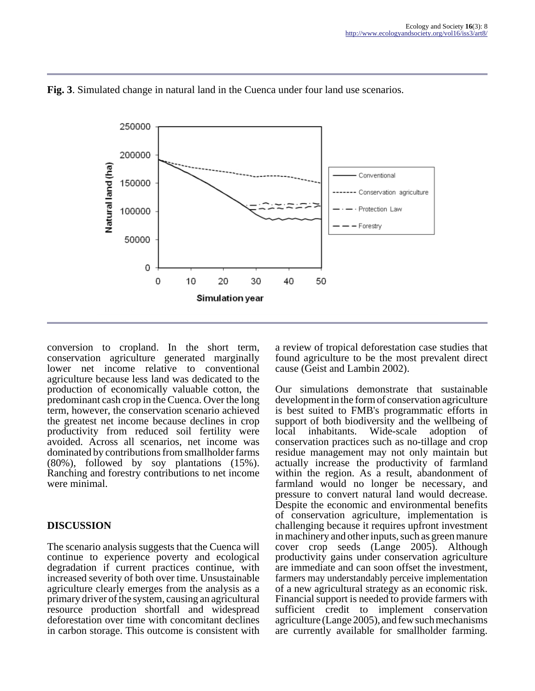

#### **Fig. 3**. Simulated change in natural land in the Cuenca under four land use scenarios.

conversion to cropland. In the short term, conservation agriculture generated marginally lower net income relative to conventional agriculture because less land was dedicated to the production of economically valuable cotton, the predominant cash crop in the Cuenca. Over the long term, however, the conservation scenario achieved the greatest net income because declines in crop productivity from reduced soil fertility were avoided. Across all scenarios, net income was dominated by contributions from smallholder farms (80%), followed by soy plantations (15%). Ranching and forestry contributions to net income were minimal.

### **DISCUSSION**

The scenario analysis suggests that the Cuenca will continue to experience poverty and ecological degradation if current practices continue, with increased severity of both over time. Unsustainable agriculture clearly emerges from the analysis as a primary driver of the system, causing an agricultural resource production shortfall and widespread deforestation over time with concomitant declines in carbon storage. This outcome is consistent with

a review of tropical deforestation case studies that found agriculture to be the most prevalent direct cause (Geist and Lambin 2002).

Our simulations demonstrate that sustainable development in the form of conservation agriculture is best suited to FMB's programmatic efforts in support of both biodiversity and the wellbeing of local inhabitants. Wide-scale adoption of conservation practices such as no-tillage and crop residue management may not only maintain but actually increase the productivity of farmland within the region. As a result, abandonment of farmland would no longer be necessary, and pressure to convert natural land would decrease. Despite the economic and environmental benefits of conservation agriculture, implementation is challenging because it requires upfront investment in machinery and other inputs, such as green manure cover crop seeds (Lange 2005). Although productivity gains under conservation agriculture are immediate and can soon offset the investment, farmers may understandably perceive implementation of a new agricultural strategy as an economic risk. Financial support is needed to provide farmers with sufficient credit to implement conservation agriculture (Lange 2005), and few such mechanisms are currently available for smallholder farming.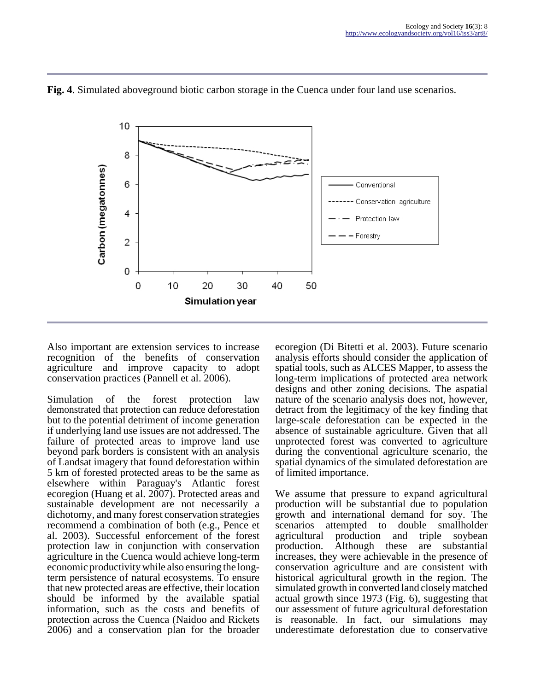

**Fig. 4**. Simulated aboveground biotic carbon storage in the Cuenca under four land use scenarios.

Also important are extension services to increase recognition of the benefits of conservation agriculture and improve capacity to adopt conservation practices (Pannell et al. 2006).

Simulation of the forest protection law demonstrated that protection can reduce deforestation but to the potential detriment of income generation if underlying land use issues are not addressed. The failure of protected areas to improve land use beyond park borders is consistent with an analysis of Landsat imagery that found deforestation within 5 km of forested protected areas to be the same as elsewhere within Paraguay's Atlantic forest ecoregion (Huang et al. 2007). Protected areas and sustainable development are not necessarily a dichotomy, and many forest conservation strategies recommend a combination of both (e.g., Pence et al. 2003). Successful enforcement of the forest protection law in conjunction with conservation agriculture in the Cuenca would achieve long-term economic productivity while also ensuring the longterm persistence of natural ecosystems. To ensure that new protected areas are effective, their location should be informed by the available spatial information, such as the costs and benefits of protection across the Cuenca (Naidoo and Rickets 2006) and a conservation plan for the broader

ecoregion (Di Bitetti et al. 2003). Future scenario analysis efforts should consider the application of spatial tools, such as ALCES Mapper, to assess the long-term implications of protected area network designs and other zoning decisions. The aspatial nature of the scenario analysis does not, however, detract from the legitimacy of the key finding that large-scale deforestation can be expected in the absence of sustainable agriculture. Given that all unprotected forest was converted to agriculture during the conventional agriculture scenario, the spatial dynamics of the simulated deforestation are of limited importance.

We assume that pressure to expand agricultural production will be substantial due to population growth and international demand for soy. The scenarios attempted to double smallholder agricultural production and triple soybean production. Although these are substantial increases, they were achievable in the presence of conservation agriculture and are consistent with historical agricultural growth in the region. The simulated growth in converted land closely matched actual growth since 1973 (Fig. 6), suggesting that our assessment of future agricultural deforestation is reasonable. In fact, our simulations may underestimate deforestation due to conservative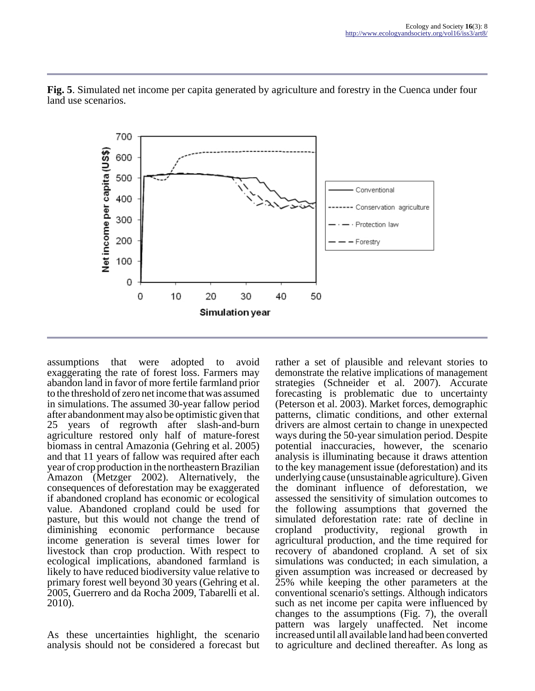

**Fig. 5**. Simulated net income per capita generated by agriculture and forestry in the Cuenca under four land use scenarios.

assumptions that were adopted to avoid exaggerating the rate of forest loss. Farmers may abandon land in favor of more fertile farmland prior to the threshold of zero net income that was assumed in simulations. The assumed 30-year fallow period after abandonment may also be optimistic given that 25 years of regrowth after slash-and-burn agriculture restored only half of mature-forest biomass in central Amazonia (Gehring et al. 2005) and that 11 years of fallow was required after each year of crop production in the northeastern Brazilian Amazon (Metzger 2002). Alternatively, the consequences of deforestation may be exaggerated if abandoned cropland has economic or ecological value. Abandoned cropland could be used for pasture, but this would not change the trend of diminishing economic performance because income generation is several times lower for livestock than crop production. With respect to ecological implications, abandoned farmland is likely to have reduced biodiversity value relative to primary forest well beyond 30 years (Gehring et al. 2005, Guerrero and da Rocha 2009, Tabarelli et al. 2010).

As these uncertainties highlight, the scenario analysis should not be considered a forecast but rather a set of plausible and relevant stories to demonstrate the relative implications of management strategies (Schneider et al. 2007). Accurate forecasting is problematic due to uncertainty (Peterson et al. 2003). Market forces, demographic patterns, climatic conditions, and other external drivers are almost certain to change in unexpected ways during the 50-year simulation period. Despite potential inaccuracies, however, the scenario analysis is illuminating because it draws attention to the key management issue (deforestation) and its underlying cause (unsustainable agriculture). Given the dominant influence of deforestation, we assessed the sensitivity of simulation outcomes to the following assumptions that governed the simulated deforestation rate: rate of decline in cropland productivity, regional growth in agricultural production, and the time required for recovery of abandoned cropland. A set of six simulations was conducted; in each simulation, a given assumption was increased or decreased by 25% while keeping the other parameters at the conventional scenario's settings. Although indicators such as net income per capita were influenced by changes to the assumptions (Fig. 7), the overall pattern was largely unaffected. Net income increased until all available land had been converted to agriculture and declined thereafter. As long as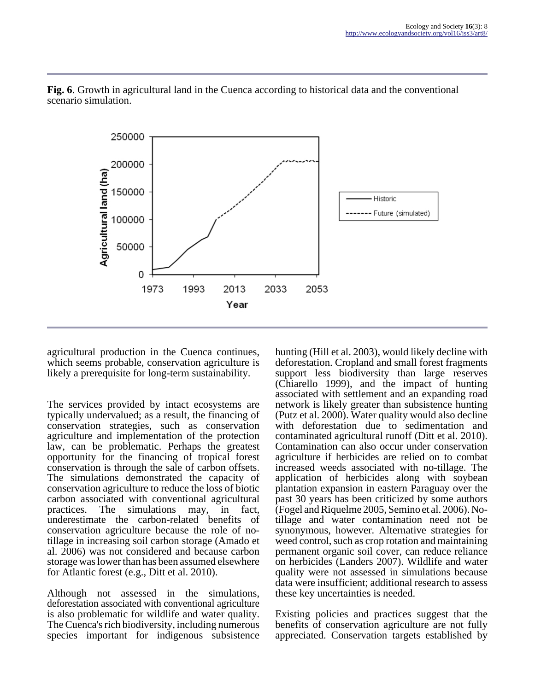

**Fig. 6**. Growth in agricultural land in the Cuenca according to historical data and the conventional scenario simulation.

agricultural production in the Cuenca continues, which seems probable, conservation agriculture is likely a prerequisite for long-term sustainability.

The services provided by intact ecosystems are typically undervalued; as a result, the financing of conservation strategies, such as conservation agriculture and implementation of the protection law, can be problematic. Perhaps the greatest opportunity for the financing of tropical forest conservation is through the sale of carbon offsets. The simulations demonstrated the capacity of conservation agriculture to reduce the loss of biotic carbon associated with conventional agricultural practices. The simulations may, in fact, underestimate the carbon-related benefits of conservation agriculture because the role of notillage in increasing soil carbon storage (Amado et al. 2006) was not considered and because carbon storage was lower than has been assumed elsewhere for Atlantic forest (e.g., Ditt et al. 2010).

Although not assessed in the simulations, deforestation associated with conventional agriculture is also problematic for wildlife and water quality. The Cuenca's rich biodiversity, including numerous species important for indigenous subsistence

hunting (Hill et al. 2003), would likely decline with deforestation. Cropland and small forest fragments support less biodiversity than large reserves (Chiarello 1999), and the impact of hunting associated with settlement and an expanding road network is likely greater than subsistence hunting (Putz et al. 2000). Water quality would also decline with deforestation due to sedimentation and contaminated agricultural runoff (Ditt et al. 2010). Contamination can also occur under conservation agriculture if herbicides are relied on to combat increased weeds associated with no-tillage. The application of herbicides along with soybean plantation expansion in eastern Paraguay over the past 30 years has been criticized by some authors (Fogel and Riquelme 2005, Semino et al. 2006). Notillage and water contamination need not be synonymous, however. Alternative strategies for weed control, such as crop rotation and maintaining permanent organic soil cover, can reduce reliance on herbicides (Landers 2007). Wildlife and water quality were not assessed in simulations because data were insufficient; additional research to assess these key uncertainties is needed.

Existing policies and practices suggest that the benefits of conservation agriculture are not fully appreciated. Conservation targets established by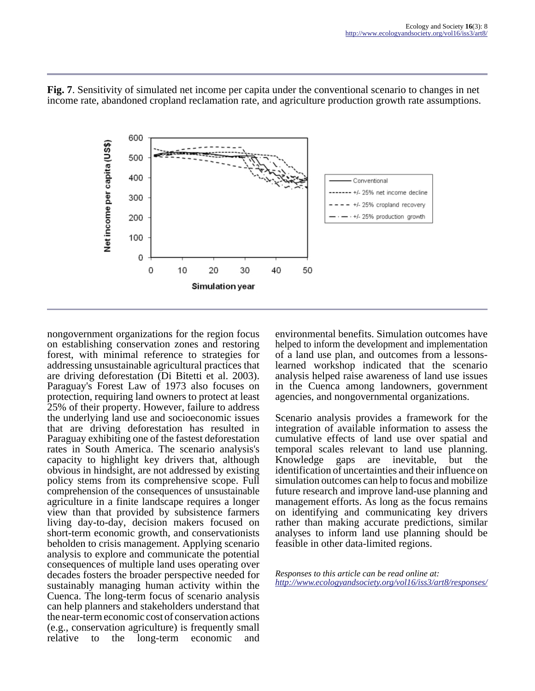

**Fig. 7**. Sensitivity of simulated net income per capita under the conventional scenario to changes in net income rate, abandoned cropland reclamation rate, and agriculture production growth rate assumptions.

nongovernment organizations for the region focus on establishing conservation zones and restoring forest, with minimal reference to strategies for addressing unsustainable agricultural practices that are driving deforestation (Di Bitetti et al. 2003). Paraguay's Forest Law of 1973 also focuses on protection, requiring land owners to protect at least 25% of their property. However, failure to address the underlying land use and socioeconomic issues that are driving deforestation has resulted in Paraguay exhibiting one of the fastest deforestation rates in South America. The scenario analysis's capacity to highlight key drivers that, although obvious in hindsight, are not addressed by existing policy stems from its comprehensive scope. Full comprehension of the consequences of unsustainable agriculture in a finite landscape requires a longer view than that provided by subsistence farmers living day-to-day, decision makers focused on short-term economic growth, and conservationists beholden to crisis management. Applying scenario analysis to explore and communicate the potential consequences of multiple land uses operating over decades fosters the broader perspective needed for sustainably managing human activity within the Cuenca. The long-term focus of scenario analysis can help planners and stakeholders understand that the near-term economic cost of conservation actions (e.g., conservation agriculture) is frequently small relative to the long-term economic and

environmental benefits. Simulation outcomes have helped to inform the development and implementation of a land use plan, and outcomes from a lessonslearned workshop indicated that the scenario analysis helped raise awareness of land use issues in the Cuenca among landowners, government agencies, and nongovernmental organizations.

Scenario analysis provides a framework for the integration of available information to assess the cumulative effects of land use over spatial and temporal scales relevant to land use planning. Knowledge gaps are inevitable, but the identification of uncertainties and their influence on simulation outcomes can help to focus and mobilize future research and improve land-use planning and management efforts. As long as the focus remains on identifying and communicating key drivers rather than making accurate predictions, similar analyses to inform land use planning should be feasible in other data-limited regions.

*Responses to this article can be read online at: <http://www.ecologyandsociety.org/vol16/iss3/art8/responses/>*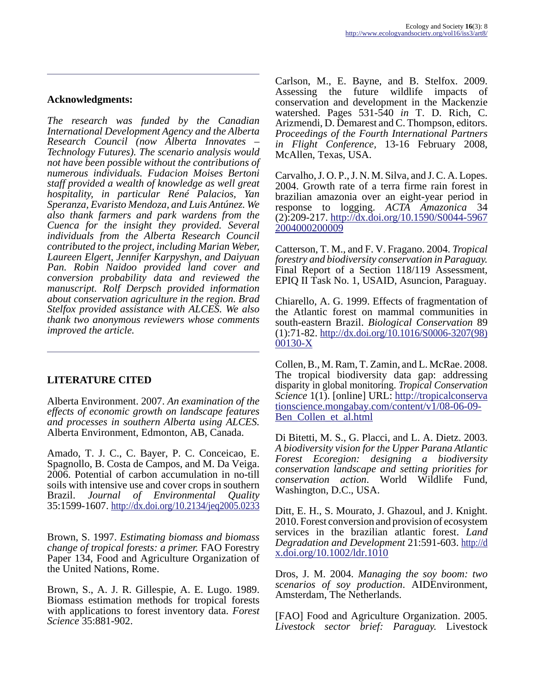#### **Acknowledgments:**

*The research was funded by the Canadian International Development Agency and the Alberta Research Council (now Alberta Innovates – Technology Futures). The scenario analysis would not have been possible without the contributions of numerous individuals. Fudacion Moises Bertoni staff provided a wealth of knowledge as well great hospitality, in particular René Palacios, Yan Speranza, Evaristo Mendoza, and Luis Antúnez. We also thank farmers and park wardens from the Cuenca for the insight they provided. Several individuals from the Alberta Research Council contributed to the project, including Marian Weber, Laureen Elgert, Jennifer Karpyshyn, and Daiyuan Pan. Robin Naidoo provided land cover and conversion probability data and reviewed the manuscript. Rolf Derpsch provided information about conservation agriculture in the region. Brad Stelfox provided assistance with ALCES. We also thank two anonymous reviewers whose comments improved the article.*

# **LITERATURE CITED**

Alberta Environment. 2007. *An examination of the effects of economic growth on landscape features and processes in southern Alberta using ALCES.* Alberta Environment, Edmonton, AB, Canada.

Amado, T. J. C., C. Bayer, P. C. Conceicao, E. Spagnollo, B. Costa de Campos, and M. Da Veiga. 2006. Potential of carbon accumulation in no-till soils with intensive use and cover crops in southern Brazil. *Journal of Environmental Quality* 35:1599-1607.<http://dx.doi.org/10.2134/jeq2005.0233>

Brown, S. 1997. *Estimating biomass and biomass change of tropical forests: a primer.* FAO Forestry Paper 134, Food and Agriculture Organization of the United Nations, Rome.

Brown, S., A. J. R. Gillespie, A. E. Lugo. 1989. Biomass estimation methods for tropical forests with applications to forest inventory data. *Forest Science* 35:881-902.

Carlson, M., E. Bayne, and B. Stelfox. 2009. Assessing the future wildlife impacts of conservation and development in the Mackenzie watershed. Pages 531-540 *in* T. D. Rich, C. Arizmendi, D. Demarest and C. Thompson, editors. *Proceedings of the Fourth International Partners in Flight Conference,* 13-16 February 2008, McAllen, Texas, USA.

Carvalho, J. O. P., J. N. M. Silva, and J. C. A. Lopes. 2004. Growth rate of a terra firme rain forest in brazilian amazonia over an eight-year period in response to logging. *ACTA Amazonica* 34 (2):209-217. [http://dx.doi.org/10.1590/S0044-5967](http://dx.doi.org/10.1590/S0044-59672004000200009) [2004000200009](http://dx.doi.org/10.1590/S0044-59672004000200009)

Catterson, T. M., and F. V. Fragano. 2004. *Tropical forestry and biodiversity conservation in Paraguay.* Final Report of a Section 118/119 Assessment, EPIQ II Task No. 1, USAID, Asuncion, Paraguay.

Chiarello, A. G. 1999. Effects of fragmentation of the Atlantic forest on mammal communities in south-eastern Brazil. *Biological Conservation* 89 (1):71-82. [http://dx.doi.org/10.1016/S0006-3207\(98\)](http://dx.doi.org/10.1016/S0006-3207(98)00130-X) [00130-X](http://dx.doi.org/10.1016/S0006-3207(98)00130-X)

Collen, B., M. Ram, T. Zamin, and L. McRae. 2008. The tropical biodiversity data gap: addressing disparity in global monitoring. *Tropical Conservation Science* 1(1). [online] URL: [http://tropicalconserva](http://tropicalconservationscience.mongabay.com/content/v1/08-06-09-Ben_Collen_et_al.html) tionscience.mongabay.com/content/v1/08-06-09- [Ben\\_Collen\\_et\\_al.html](http://tropicalconservationscience.mongabay.com/content/v1/08-06-09-Ben_Collen_et_al.html)

Di Bitetti, M. S., G. Placci, and L. A. Dietz. 2003. *A biodiversity vision for the Upper Parana Atlantic Forest Ecoregion: designing a biodiversity conservation landscape and setting priorities for conservation action*. World Wildlife Fund, Washington, D.C., USA.

Ditt, E. H., S. Mourato, J. Ghazoul, and J. Knight. 2010. Forest conversion and provision of ecosystem services in the brazilian atlantic forest. *Land Degradation and Development* 21:591-603. [http://d](http://dx.doi.org/10.1002/ldr.1010) [x.doi.org/10.1002/ldr.1010](http://dx.doi.org/10.1002/ldr.1010)

Dros, J. M. 2004. *Managing the soy boom: two scenarios of soy production*. AIDEnvironment, Amsterdam, The Netherlands.

[FAO] Food and Agriculture Organization. 2005. *Livestock sector brief: Paraguay.* Livestock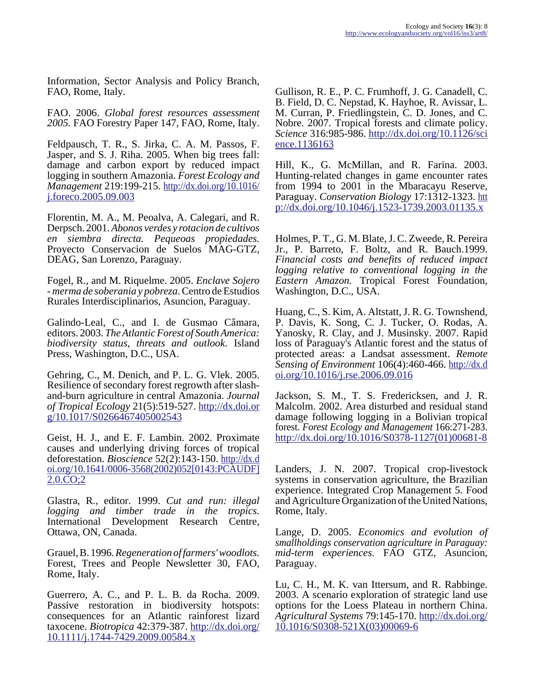Information, Sector Analysis and Policy Branch, FAO, Rome, Italy.

FAO. 2006. *Global forest resources assessment 2005.* FAO Forestry Paper 147, FAO, Rome, Italy.

Feldpausch, T. R., S. Jirka, C. A. M. Passos, F. Jasper, and S. J. Riha. 2005. When big trees fall: damage and carbon export by reduced impact logging in southern Amazonia. *Forest Ecology and Management* 219:199-215. [http://dx.doi.org/10.1016/](http://dx.doi.org/10.1016/j.foreco.2005.09.003) [j.foreco.2005.09.003](http://dx.doi.org/10.1016/j.foreco.2005.09.003)

Florentin, M. A., M. Peoalva, A. Calegari, and R. Derpsch. 2001. *Abonos verdes y rotacion de cultivos en siembra directa. Pequeoas propiedades.* Proyecto Conservacion de Suelos MAG-GTZ, DEAG, San Lorenzo, Paraguay.

Fogel, R., and M. Riquelme. 2005. *Enclave Sojero - merma de soberania y pobreza*. Centro de Estudios Rurales Interdisciplinarios, Asuncion, Paraguay.

Galindo-Leal, C., and I. de Gusmao Câmara, editors. 2003. *The Atlantic Forest of South America: biodiversity status, threats and outlook*. Island Press, Washington, D.C., USA.

Gehring, C., M. Denich, and P. L. G. Vlek. 2005. Resilience of secondary forest regrowth after slashand-burn agriculture in central Amazonia. *Journal of Tropical Ecology* 21(5):519-527. [http://dx.doi.or](http://dx.doi.org/10.1017/S0266467405002543) [g/10.1017/S0266467405002543](http://dx.doi.org/10.1017/S0266467405002543)

Geist, H. J., and E. F. Lambin. 2002. Proximate causes and underlying driving forces of tropical deforestation. *Bioscience* 52(2):143-150. [http://dx.d](http://dx.doi.org/10.1641/0006-3568(2002)052[0143:PCAUDF]2.0.CO;2) oi.org/10.1641/0006-3568(2002)052[0143:PCAUDF] [2.0.CO;2](http://dx.doi.org/10.1641/0006-3568(2002)052[0143:PCAUDF]2.0.CO;2)

Glastra, R., editor. 1999. *Cut and run: illegal logging and timber trade in the tropics.* International Development Research Centre, Ottawa, ON, Canada.

Grauel, B. 1996. *Regeneration of farmers' woodlots.* Forest, Trees and People Newsletter 30, FAO, Rome, Italy.

Guerrero, A. C., and P. L. B. da Rocha. 2009. Passive restoration in biodiversity hotspots: consequences for an Atlantic rainforest lizard taxocene. *Biotropica* 42:379-387. [http://dx.doi.org/](http://dx.doi.org/10.1111/j.1744-7429.2009.00584.x) [10.1111/j.1744-7429.2009.00584.x](http://dx.doi.org/10.1111/j.1744-7429.2009.00584.x)

Gullison, R. E., P. C. Frumhoff, J. G. Canadell, C. B. Field, D. C. Nepstad, K. Hayhoe, R. Avissar, L. M. Curran, P. Friedlingstein, C. D. Jones, and C. Nobre. 2007. Tropical forests and climate policy. *Science* 316:985-986. [http://dx.doi.org/10.1126/sci](http://dx.doi.org/10.1126/science.1136163) [ence.1136163](http://dx.doi.org/10.1126/science.1136163)

Hill, K., G. McMillan, and R. Farina. 2003. Hunting-related changes in game encounter rates from 1994 to 2001 in the Mbaracayu Reserve, Paraguay. *Conservation Biology* 17:1312-1323. [htt](http://dx.doi.org/10.1046/j.1523-1739.2003.01135.x) [p://dx.doi.org/10.1046/j.1523-1739.2003.01135.x](http://dx.doi.org/10.1046/j.1523-1739.2003.01135.x)

Holmes, P. T., G. M. Blate, J. C. Zweede, R. Pereira Jr., P. Barreto, F. Boltz, and R. Bauch.1999. *Financial costs and benefits of reduced impact logging relative to conventional logging in the Eastern Amazon.* Tropical Forest Foundation, Washington, D.C., USA.

Huang, C., S. Kim, A. Altstatt, J. R. G. Townshend, P. Davis, K. Song, C. J. Tucker, O. Rodas, A. Yanosky, R. Clay, and J. Musinsky. 2007. Rapid loss of Paraguay's Atlantic forest and the status of protected areas: a Landsat assessment. *Remote Sensing of Environment* 106(4):460-466. [http://dx.d](http://dx.doi.org/10.1016/j.rse.2006.09.016) [oi.org/10.1016/j.rse.2006.09.016](http://dx.doi.org/10.1016/j.rse.2006.09.016)

Jackson, S. M., T. S. Fredericksen, and J. R. Malcolm. 2002. Area disturbed and residual stand damage following logging in a Bolivian tropical forest. *Forest Ecology and Management* 166:271-283. [http://dx.doi.org/10.1016/S0378-1127\(01\)00681-8](http://dx.doi.org/10.1016/S0378-1127(01)00681-8)

Landers, J. N. 2007. Tropical crop-livestock systems in conservation agriculture, the Brazilian experience. Integrated Crop Management 5. Food and Agriculture Organization of the United Nations, Rome, Italy.

Lange, D. 2005. *Economics and evolution of smallholdings conservation agriculture in Paraguay: mid-term experiences*. FAO GTZ, Asuncion, Paraguay.

Lu, C. H., M. K. van Ittersum, and R. Rabbinge. 2003. A scenario exploration of strategic land use options for the Loess Plateau in northern China. *Agricultural Systems* 79:145-170. [http://dx.doi.org/](http://dx.doi.org/10.1016/S0308-521X(03)00069-6) [10.1016/S0308-521X\(03\)00069-6](http://dx.doi.org/10.1016/S0308-521X(03)00069-6)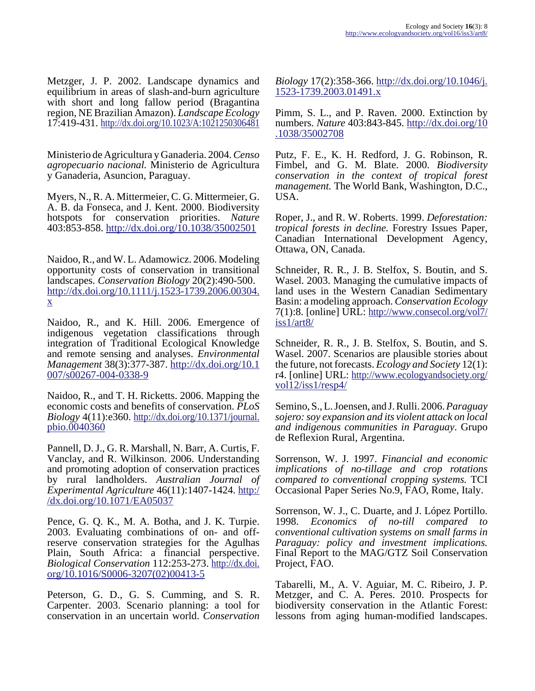Metzger, J. P. 2002. Landscape dynamics and equilibrium in areas of slash-and-burn agriculture with short and long fallow period (Bragantina) region, NE Brazilian Amazon). *Landscape Ecology* 17:419-431.<http://dx.doi.org/10.1023/A:1021250306481>

Ministerio de Agricultura y Ganaderia. 2004. *Censo agropecuario nacional.* Ministerio de Agricultura y Ganaderia, Asuncion, Paraguay.

Myers, N., R. A. Mittermeier, C. G. Mittermeier, G. A. B. da Fonseca, and J. Kent. 2000. Biodiversity hotspots for conservation priorities. *Nature* 403:853-858.<http://dx.doi.org/10.1038/35002501>

Naidoo, R., and W. L. Adamowicz. 2006. Modeling opportunity costs of conservation in transitional landscapes. *Conservation Biology* 20(2):490-500. [http://dx.doi.org/10.1111/j.1523-1739.2006.00304.](http://dx.doi.org/10.1111/j.1523-1739.2006.00304.x) [x](http://dx.doi.org/10.1111/j.1523-1739.2006.00304.x)

Naidoo, R., and K. Hill. 2006. Emergence of indigenous vegetation classifications through integration of Traditional Ecological Knowledge and remote sensing and analyses. *Environmental Management* 38(3):377-387. [http://dx.doi.org/10.1](http://dx.doi.org/10.1007/s00267-004-0338-9) [007/s00267-004-0338-9](http://dx.doi.org/10.1007/s00267-004-0338-9)

Naidoo, R., and T. H. Ricketts. 2006. Mapping the economic costs and benefits of conservation. *PLoS Biology* 4(11):e360. [http://dx.doi.org/10.1371/journal.](http://dx.doi.org/10.1371/journal.pbio.0040360) [pbio.0040360](http://dx.doi.org/10.1371/journal.pbio.0040360)

Pannell, D. J., G. R. Marshall, N. Barr, A. Curtis, F. Vanclay, and R. Wilkinson. 2006. Understanding and promoting adoption of conservation practices by rural landholders. *Australian Journal of Experimental Agriculture* 46(11):1407-1424. [http:/](http://dx.doi.org/10.1071/EA05037) [/dx.doi.org/10.1071/EA05037](http://dx.doi.org/10.1071/EA05037)

Pence, G. Q. K., M. A. Botha, and J. K. Turpie. 2003. Evaluating combinations of on- and offreserve conservation strategies for the Agulhas Plain, South Africa: a financial perspective. *Biological Conservation* 112:253-273. [http://dx.doi.](http://dx.doi.org/10.1016/S0006-3207(02)00413-5) [org/10.1016/S0006-3207\(02\)00413-5](http://dx.doi.org/10.1016/S0006-3207(02)00413-5)

Peterson, G. D., G. S. Cumming, and S. R. Carpenter. 2003. Scenario planning: a tool for conservation in an uncertain world. *Conservation* *Biology* 17(2):358-366. [http://dx.doi.org/10.1046/j.](http://dx.doi.org/10.1046/j.1523-1739.2003.01491.x) [1523-1739.2003.01491.x](http://dx.doi.org/10.1046/j.1523-1739.2003.01491.x)

Pimm, S. L., and P. Raven. 2000. Extinction by numbers. *Nature* 403:843-845. [http://dx.doi.org/10](http://dx.doi.org/10.1038/35002708) [.1038/35002708](http://dx.doi.org/10.1038/35002708)

Putz, F. E., K. H. Redford, J. G. Robinson, R. Fimbel, and G. M. Blate. 2000. *Biodiversity conservation in the context of tropical forest management.* The World Bank, Washington, D.C., USA.

Roper, J., and R. W. Roberts. 1999. *Deforestation: tropical forests in decline.* Forestry Issues Paper, Canadian International Development Agency, Ottawa, ON, Canada.

Schneider, R. R., J. B. Stelfox, S. Boutin, and S. Wasel. 2003. Managing the cumulative impacts of land uses in the Western Canadian Sedimentary Basin: a modeling approach. *Conservation Ecology* 7(1):8. [online] URL: [http://www.consecol.org/vol7/](http://www.consecol.org/vol7/iss1/art8/) [iss1/art8/](http://www.consecol.org/vol7/iss1/art8/)

Schneider, R. R., J. B. Stelfox, S. Boutin, and S. Wasel. 2007. Scenarios are plausible stories about the future, not forecasts. *Ecology and Society* 12(1): r4. [online] URL: [http://www.ecologyandsociety.org/](http://www.ecologyandsociety.org/vol12/iss1/resp4/) [vol12/iss1/resp4/](http://www.ecologyandsociety.org/vol12/iss1/resp4/)

Semino, S., L. Joensen, and J. Rulli. 2006. *Paraguay sojero: soy expansion and its violent attack on local and indigenous communities in Paraguay*. Grupo de Reflexion Rural, Argentina.

Sorrenson, W. J. 1997. *Financial and economic implications of no-tillage and crop rotations compared to conventional cropping systems.* TCI Occasional Paper Series No.9, FAO, Rome, Italy.

Sorrenson, W. J., C. Duarte, and J. López Portillo. 1998. *Economics of no-till compared to conventional cultivation systems on small farms in Paraguay: policy and investment implications.* Final Report to the MAG/GTZ Soil Conservation Project, FAO.

Tabarelli, M., A. V. Aguiar, M. C. Ribeiro, J. P. Metzger, and C. A. Peres. 2010. Prospects for biodiversity conservation in the Atlantic Forest: lessons from aging human-modified landscapes.